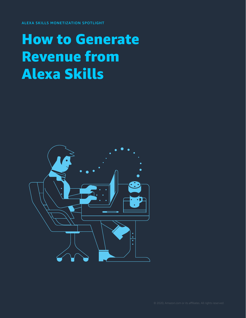ALEXA SKILLS MONETIZATION SPOTLIGHT

### How to Generate Revenue from Alexa Skills

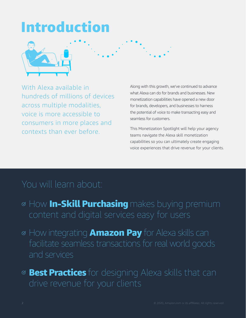## Introduction



With Alexa available in hundreds of millions of devices across multiple modalities, voice is more accessible to consumers in more places and contexts than ever before.

Along with this growth, we've continued to advance what Alexa can do for brands and businesses. New monetization capabilities have opened a new door for brands, developers, and businesses to harness the potential of voice to make transacting easy and seamless for customers.

This Monetization Spotlight will help your agency teams navigate the Alexa skill monetization capabilities so you can ultimately create engaging voice experiences that drive revenue for your clients.

### You will learn about:

- **MHow In-Skill Purchasing** makes buying premium
- ⊗ How integrating **Amazon Pay** for Alexa skills can facilitate seamless transactions for real world goods and services
- **<sup>⊗</sup> Best Practices** for designing Alexa skills that can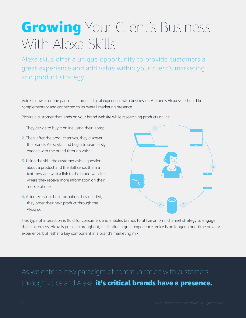## **Growing** Your Client's Business With Alexa Skills

Alexa skills offer a unique opportunity to provide customers a great experience and add value within your client's marketing and product strategy.

Voice is now a routine part of customers digital experience with businesses. A brand's Alexa skill should be complementary and connected to its overall marketing presence.

Picture a customer that lands on your brand website while researching products online.

- 1. They decide to buy it online using their laptop.
- 2. Then, after the product arrives, they discover the brand's Alexa skill and begin to seamlessly engage with the brand through voice.
- **3.** Using the skill, the customer asks a question about a product and the skill sends them a text message with a link to the brand website where they receive more information on their mobile phone.
- 4. After receiving the information they needed, they order their next product through the Alexa skill.



This type of interaction is fluid for consumers and enables brands to utilize an omnichannel strategy to engage their customers. Alexa is present throughout, facilitating a great experience. Voice is no longer a one-time novelty experience, but rather a key component in a brand's marketing mix.

through voice and Alexa, it's critical brands have a presence.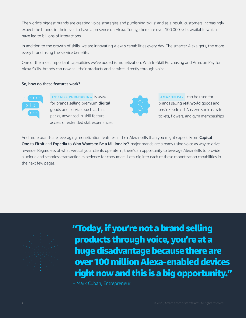The world's biggest brands are creating voice strategies and publishing 'skills' and as a result, customers increasingly expect the brands in their lives to have a presence on Alexa. Today, there are over 100,000 skills available which have led to billions of interactions.

In addition to the growth of skills, we are innovating Alexa's capabilities every day. The smarter Alexa gets, the more every brand using the service benefits.

One of the most important capabilities we've added is monetization. With In-Skill Purchasing and Amazon Pay for Alexa Skills, brands can now sell their products and services directly through voice.

#### So, how do these features work?



 **IN-SKILL PURCHASING** is used for brands selling premium digital goods and services such as hint packs, advanced in-skill feature access or extended skill experiences.



 **AMAZON PAY** can be used for brands selling real world goods and services sold off-Amazon such as train tickets, flowers, and gym memberships.

And more brands are leveraging monetization features in their Alexa skills than you might expect. From Capital One to Fitbit and Expedia to Who Wants to Be a Millionaire?, major brands are already using voice as way to drive revenue. Regardless of what vertical your clients operate in, there's an opportunity to leverage Alexa skills to provide a unique and seamless transaction experience for consumers. Let's dig into each of these monetization capabilities in the next few pages.



"Today, if you're not a brand selling products through voice, you're at a huge disadvantage because there are over 100 million Alexa-enabled devices right now and this is a big opportunity."

– Mark Cuban, Entrepreneur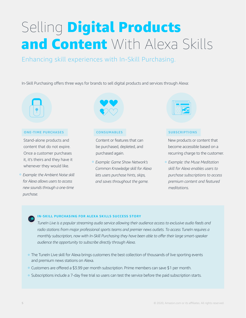# Selling Digital Products and Content With Alexa Skills

### Enhancing skill experiences with In-Skill Purchasing.

In-Skill Purchasing offers three ways for brands to sell digital products and services through Alexa:

#### **ONE-TIME PURCHASES**

Stand-alone products and content that do not expire. Once a customer purchases it, it's theirs and they have it whenever they would like.

° *Example: the Ambient Noise skill for Alexa allows users to access new sounds through a one-time purchase.*



#### **CONSUMABLES**

Content or features that can be purchased, depleted, and purchased again.

° *Example: Game Show Network's Common Knowledge skill for Alexa lets users purchase hints, skips, and saves throughout the game.*

#### **SUBSCRIPTIONS**

New products or content that become accessible based on a recurring charge to the customer.

° *Example: the Muse Meditation skill for Alexa enables users to purchase subscriptions to access premium content and featured meditations.*

#### **IN-SKILL PURCHASING FOR ALEXA SKILLS SUCCESS STORY**

*TuneIn Live is a popular streaming audio service allowing their audience access to exclusive audio feeds and radio stations from major professional sports teams and premier news outlets. To access TuneIn requires a monthly subscription, now with In-Skill Purchasing they have been able to offer their large smart-speaker audience the opportunity to subscribe directly through Alexa.*

- <sup>o</sup> The TuneIn Live skill for Alexa brings customers the best collection of thousands of live sporting events and premium news stations on Alexa.
- ° Customers are offered a \$3.99 per month subscription. Prime members can save \$1 per month.
- ° Subscriptions include a 7-day free trial so users can test the service before the paid subscription starts.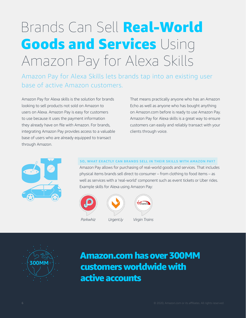# Brands Can Sell Real-World Goods and Services Using Amazon Pay for Alexa Skills

Amazon Pay for Alexa Skills lets brands tap into an existing user base of active Amazon customers.

Amazon Pay for Alexa skills is the solution for brands looking to sell products not sold on Amazon to users on Alexa. Amazon Pay is easy for customers to use because it uses the payment information they already have on file with Amazon. For brands, integrating Amazon Pay provides access to a valuable base of users who are already equipped to transact through Amazon.

That means practically anyone who has an Amazon Echo as well as anyone who has bought anything on Amazon.com before is ready to use Amazon Pay. Amazon Pay for Alexa skills is a great way to ensure customers can easily and reliably transact with your clients through voice.



#### **SO, WHAT EXACTLY CAN BRANDS SELL IN THEIR SKILLS WITH AMAZON PAY?**

Amazon Pay allows for purchasing of real-world goods and services. That includes physical items brands sell direct to consumer – from clothing to food items – as well as services with a 'real-world' component such as event tickets or Uber rides. Example skills for Alexa using Amazon Pay:





### Amazon.com has over 300MM customers worldwide with active accounts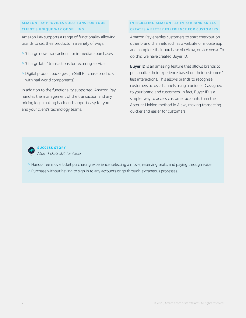#### **AMAZON PAY PROVIDES SOLUTIONS FOR YOUR CLIENT'S UNIQUE WAY OF SELLING**

Amazon Pay supports a range of functionality allowing brands to sell their products in a variety of ways.

- ° 'Charge now' transactions for immediate purchases
- ° 'Charge later' transactions for recurring services
- ° Digital product packages (In-Skill Purchase products with real world components)

In addition to the functionality supported, Amazon Pay handles the management of the transaction and any pricing logic making back-end support easy for you and your client's technology teams.

#### **INTEGRATING AMAZON PAY INTO BRAND SKILLS CREATES A BETTER EXPERIENCE FOR CUSTOMERS**

Amazon Pay enables customers to start checkout on other brand channels such as a website or mobile app and complete their purchase via Alexa, or vice versa. To do this, we have created Buyer ID.

**Buyer ID** is an amazing feature that allows brands to personalize their experience based on their customers' last interactions. This allows brands to recognize customers across channels using a unique ID assigned to your brand and customers. In fact, Buyer ID is a simpler way to access customer accounts than the Account Linking method in Alexa, making transacting quicker and easier for customers.



**SUCCESS STORY** *Atom Tickets skill for Alexa*

- ° Hands-free movie ticket purchasing experience: selecting a movie, reserving seats, and paying through voice.
- <sup>o</sup> Purchase without having to sign in to any accounts or go through extraneous processes.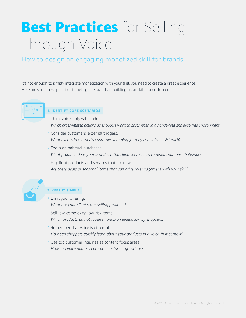# Best Practices for Selling Through Voice

### How to design an engaging monetized skill for brands

It's not enough to simply integrate monetization with your skill, you need to create a great experience. Here are some best practices to help guide brands in building great skills for customers:



### **1. IDENTIFY CORE SCENARIOS**

- ° Think voice-only value add. *Which order-related actions do shoppers want to accomplish in a hands-free and eyes-free environment?*
- ° Consider customers' external triggers. *What events in a brand's customer shopping journey can voice assist with?*
- ° Focus on habitual purchases. *What products does your brand sell that lend themselves to repeat purchase behavior?*
- ° Highlight products and services that are new. *Are there deals or seasonal items that can drive re-engagement with your skill?*



### **2. KEEP IT SIMPLE**

- Limit your offering. *What are your client's top-selling products?*
- <sup>o</sup> Sell low-complexity, low-risk items. *Which products do not require hands-on evaluation by shoppers?*
- Remember that voice is different. *How can shoppers quickly learn about your products in a voice-first context?*
- ° Use top customer inquiries as content focus areas. *How can voice address common customer questions?*